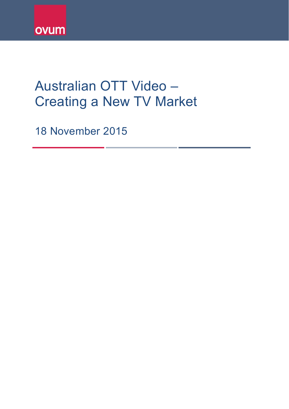

# Australian OTT Video – Creating a New TV Market

18 November 2015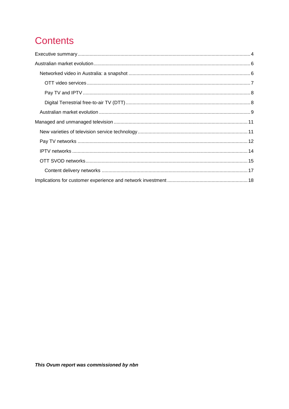## **Contents**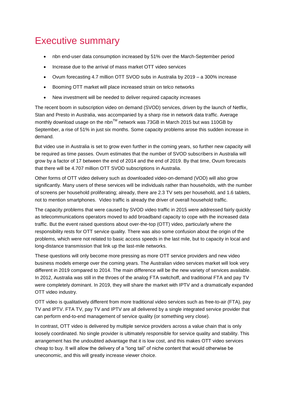## <span id="page-3-0"></span>Executive summary

- nbn end-user data consumption increased by 51% over the March-September period
- Increase due to the arrival of mass market OTT video services
- Ovum forecasting 4.7 million OTT SVOD subs in Australia by 2019 a 300% increase
- Booming OTT market will place increased strain on telco networks
- New investment will be needed to deliver required capacity increases

The recent boom in subscription video on demand (SVOD) services, driven by the launch of Netflix, Stan and Presto in Australia, was accompanied by a sharp rise in network data traffic. Average monthly download usage on the nbn<sup>TM</sup> network was 73GB in March 2015 but was 110GB by September, a rise of 51% in just six months. Some capacity problems arose this sudden increase in demand.

But video use in Australia is set to grow even further in the coming years, so further new capacity will be required as time passes. Ovum estimates that the number of SVOD subscribers in Australia will grow by a factor of 17 between the end of 2014 and the end of 2019. By that time, Ovum forecasts that there will be 4.707 million OTT SVOD subscriptions in Australia.

Other forms of OTT video delivery such as downloaded video-on-demand (VOD) will also grow significantly. Many users of these services will be individuals rather than households, with the number of screens per household proliferating; already, there are 2.3 TV sets per household, and 1.6 tablets, not to mention smartphones. Video traffic is already the driver of overall household traffic.

The capacity problems that were caused by SVOD video traffic in 2015 were addressed fairly quickly as telecommunications operators moved to add broadband capacity to cope with the increased data traffic. But the event raised questions about over-the-top (OTT) video, particularly where the responsibility rests for OTT service quality. There was also some confusion about the origin of the problems, which were not related to basic access speeds in the last mile, but to capacity in local and long-distance transmission that link up the last-mile networks.

These questions will only become more pressing as more OTT service providers and new video business models emerge over the coming years. The Australian video services market will look very different in 2019 compared to 2014. The main difference will be the new variety of services available. In 2012, Australia was still in the throes of the analog FTA switchoff, and traditional FTA and pay TV were completely dominant. In 2019, they will share the market with IPTV and a dramatically expanded OTT video industry.

OTT video is qualitatively different from more traditional video services such as free-to-air (FTA), pay TV and IPTV. FTA TV, pay TV and IPTV are all delivered by a single integrated service provider that can perform end-to-end management of service quality (or something very close).

In contrast, OTT video is delivered by multiple service providers across a value chain that is only loosely coordinated. No single provider is ultimately responsible for service quality and stability. This arrangement has the undoubted advantage that it is low cost, and this makes OTT video services cheap to buy. It will allow the delivery of a "long tail" of niche content that would otherwise be uneconomic, and this will greatly increase viewer choice.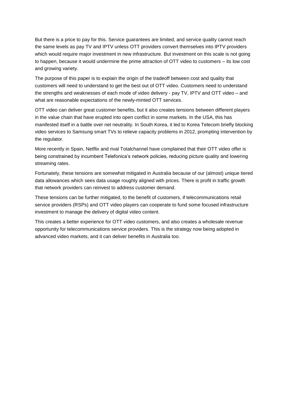But there is a price to pay for this. Service guarantees are limited, and service quality cannot reach the same levels as pay TV and IPTV unless OTT providers convert themselves into IPTV providers which would require major investment in new infrastructure. But investment on this scale is not going to happen, because it would undermine the prime attraction of OTT video to customers – its low cost and growing variety.

The purpose of this paper is to explain the origin of the tradeoff between cost and quality that customers will need to understand to get the best out of OTT video. Customers need to understand the strengths and weaknesses of each mode of video delivery - pay TV, IPTV and OTT video – and what are reasonable expectations of the newly-minted OTT services.

OTT video can deliver great customer benefits, but it also creates tensions between different players in the value chain that have erupted into open conflict in some markets. In the USA, this has manifested itself in a battle over net neutrality. In South Korea, it led to Korea Telecom briefly blocking video services to Samsung smart TVs to relieve capacity problems in 2012, prompting intervention by the regulator.

More recently in Spain, Netflix and rival Totalchannel have complained that their OTT video offer is being constrained by incumbent Telefonica's network policies, reducing picture quality and lowering streaming rates.

Fortunately, these tensions are somewhat mitigated in Australia because of our (almost) unique tiered data allowances which sees data usage roughly aligned with prices. There is profit in traffic growth that network providers can reinvest to address customer demand.

These tensions can be further mitigated, to the benefit of customers, if telecommunications retail service providers (RSPs) and OTT video players can cooperate to fund some focused infrastructure investment to manage the delivery of digital video content.

This creates a better experience for OTT video customers, and also creates a wholesale revenue opportunity for telecommunications service providers. This is the strategy now being adopted in advanced video markets, and it can deliver benefits in Australia too.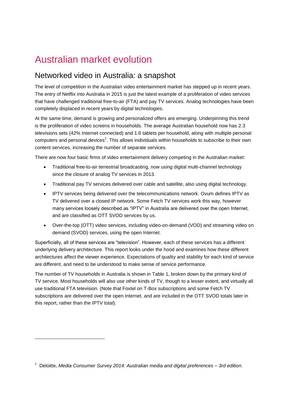## <span id="page-5-0"></span>Australian market evolution

### <span id="page-5-1"></span>Networked video in Australia: a snapshot

The level of competition in the Australian video entertainment market has stepped up in recent years. The entry of Netflix into Australia in 2015 is just the latest example of a proliferation of video services that have challenged traditional free-to-air (FTA) and pay TV services. Analog technologies have been completely displaced in recent years by digital technologies.

At the same time, demand is growing and personalized offers are emerging. Underpinning this trend is the proliferation of video screens in households. The average Australian household now has 2.3 televisions sets (42% Internet connected) and 1.6 tablets per household, along with multiple personal computers and personal devices<sup>1</sup>. This allows individuals within households to subscribe to their own content services, increasing the number of separate services.

There are now four basic firms of video entertainment delivery competing in the Australian market:

- Traditional free-to-air terrestrial broadcasting, now using digital multi-channel technology since the closure of analog TV services in 2013.
- Traditional pay TV services delivered over cable and satellite, also using digital technology.
- IPTV services being delivered over the telecommunications network. Ovum defines IPTV as TV delivered over a closed IP network. Some Fetch TV services work this way, however many services loosely described as "IPTV" in Australia are delivered over the open Internet, and are classified as OTT SVOD services by us.
- Over-the-top (OTT) video services, including video-on-demand (VOD) and streaming video on demand (SVOD) services, using the open Internet.

Superficially, all of these services are "television". However, each of these services has a different underlying delivery architecture. This report looks under the hood and examines how these different architectures affect the viewer experience. Expectations of quality and stability for each kind of service are different, and need to be understood to make sense of service performance.

The number of TV households in Australia is shown in Table 1, broken down by the primary kind of TV service. Most households will also use other kinds of TV, though to a lesser extent, and virtually all use traditional FTA television. (Note that Foxtel on T-Box subscriptions and some Fetch TV subscriptions are delivered over the open Internet, and are included in the OTT SVOD totals later in this report, rather than the IPTV total).

-

<sup>1</sup> Deloitte, *Media Consumer Survey 2014: Australian media and digital preferences – 3rd edition.*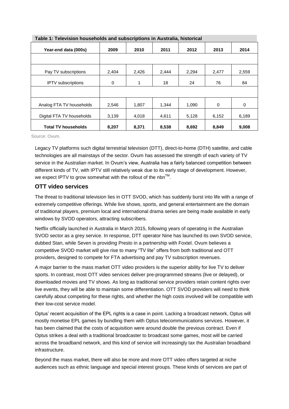| Table 1: Television households and subscriptions in Australia, historical |       |       |       |       |       |       |  |  |  |
|---------------------------------------------------------------------------|-------|-------|-------|-------|-------|-------|--|--|--|
| Year-end data (000s)                                                      | 2009  | 2010  | 2011  | 2012  | 2013  | 2014  |  |  |  |
|                                                                           |       |       |       |       |       |       |  |  |  |
| Pay TV subscriptions                                                      | 2,404 | 2,426 | 2,444 | 2,294 | 2,477 | 2,559 |  |  |  |
| <b>IPTV</b> subscriptions                                                 | 0     | 1     | 18    | 24    | 76    | 84    |  |  |  |
|                                                                           |       |       |       |       |       |       |  |  |  |
| Analog FTA TV households                                                  | 2,546 | 1,807 | 1,344 | 1,090 | 0     | 0     |  |  |  |
| Digital FTA TV households                                                 | 3,139 | 4,018 | 4,611 | 5,128 | 6,152 | 6,189 |  |  |  |
| <b>Total TV households</b>                                                | 8,207 | 8,371 | 8,538 | 8,692 | 8,849 | 9,008 |  |  |  |



Source: Ovum.

Legacy TV platforms such digital terrestrial television (DTT), direct-to-home (DTH) satellite, and cable technologies are all mainstays of the sector. Ovum has assessed the strength of each variety of TV service in the Australian market. In Ovum's view, Australia has a fairly balanced competition between different kinds of TV, with IPTV still relatively weak due to its early stage of development. However, we expect IPTV to grow somewhat with the rollout of the nbn $^{TM}$ .

#### <span id="page-6-0"></span>**OTT video services**

The threat to traditional television lies in OTT SVOD, which has suddenly burst into life with a range of extremely competitive offerings. While live shows, sports, and general entertainment are the domain of traditional players, premium local and international drama series are being made available in early windows by SVOD operators, attracting subscribers.

Netflix officially launched in Australia in March 2015, following years of operating in the Australian SVOD sector as a grey service. In response, DTT operator Nine has launched its own SVOD service, dubbed Stan, while Seven is providing Presto in a partnership with Foxtel. Ovum believes a competitive SVOD market will give rise to many "TV lite" offers from both traditional and OTT providers, designed to compete for FTA advertising and pay TV subscription revenues.

A major barrier to the mass market OTT video providers is the superior ability for live TV to deliver sports. In contrast, most OTT video services deliver pre-programmed streams (live or delayed), or downloaded movies and TV shows. As long as traditional service providers retain content rights over live events, they will be able to maintain some differentiation. OTT SVOD providers will need to think carefully about competing for these rights, and whether the high costs involved will be compatible with their low-cost service model.

Optus' recent acquisition of the EPL rights is a case in point. Lacking a broadcast network, Optus will mostly monetise EPL games by bundling them with Optus telecommunications services. However, it has been claimed that the costs of acquisition were around double the previous contract. Even if Optus strikes a deal with a traditional broadcaster to broadcast some games, most will be carried across the broadband network, and this kind of service will increasingly tax the Australian broadband infrastructure.

Beyond the mass market, there will also be more and more OTT video offers targeted at niche audiences such as ethnic language and special interest groups. These kinds of services are part of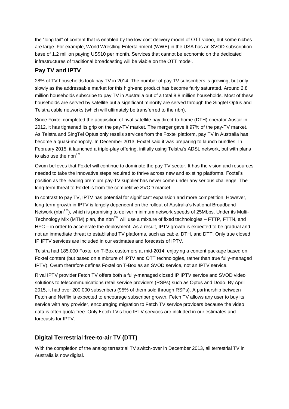the "long tail" of content that is enabled by the low cost delivery model of OTT video, but some niches are large. For example, World Wrestling Entertainment (WWE) in the USA has an SVOD subscription base of 1.2 million paying US\$10 per month. Services that cannot be economic on the dedicated infrastructures of traditional broadcasting will be viable on the OTT model.

#### <span id="page-7-0"></span>**Pay TV and IPTV**

28% of TV households took pay TV in 2014. The number of pay TV subscribers is growing, but only slowly as the addressable market for this high-end product has become fairly saturated. Around 2.8 million households subscribe to pay TV in Australia out of a total 8.8 million households. Most of these households are served by satellite but a significant minority are served through the Singtel Optus and Telstra cable networks (which will ultimately be transferred to the nbn).

Since Foxtel completed the acquisition of rival satellite pay direct-to-home (DTH) operator Austar in 2012, it has tightened its grip on the pay-TV market. The merger gave it 97% of the pay-TV market. As Telstra and SingTel Optus only resells services from the Foxtel platform, pay TV in Australia has become a quasi-monopoly. In December 2013, Foxtel said it was preparing to launch bundles. In February 2015, it launched a triple-play offering, initially using Telstra's ADSL network, but with plans to also use the nbn $^{TM}$ .

Ovum believes that Foxtel will continue to dominate the pay-TV sector. It has the vision and resources needed to take the innovative steps required to thrive across new and existing platforms. Foxtel's position as the leading premium pay-TV supplier has never come under any serious challenge. The long-term threat to Foxtel is from the competitive SVOD market.

In contrast to pay TV, IPTV has potential for significant expansion and more competition. However, long-term growth in IPTV is largely dependent on the rollout of Australia's National Broadband Network (nbn<sup>™</sup>), which is promising to deliver minimum network speeds of 25Mbps. Under its Multi-Technology Mix (MTM) plan, the nbn<sup>TM</sup> will use a mixture of fixed technologies – FTTP, FTTN, and HFC – in order to accelerate the deployment. As a result, IPTV growth is expected to be gradual and not an immediate threat to established TV platforms, such as cable, DTH, and DTT. Only true closed IP IPTV services are included in our estimates and forecasts of IPTV.

Telstra had 185,000 Foxtel on T-Box customers at mid-2014, enjoying a content package based on Foxtel content (but based on a mixture of IPTV and OTT technologies, rather than true fully-managed IPTV). Ovum therefore defines Foxtel on T-Box as an SVOD service, not an IPTV service.

Rival IPTV provider Fetch TV offers both a fully-managed closed IP IPTV service and SVOD video solutions to telecommunications retail service providers (RSPs) such as Optus and Dodo. By April 2015, it had over 200,000 subscribers (95% of them sold through RSPs). A partnership between Fetch and Netflix is expected to encourage subscriber growth. Fetch TV allows any user to buy its service with any provider, encouraging migration to Fetch TV service providers because the video data is often quota-free. Only Fetch TV's true IPTV services are included in our estimates and forecasts for IPTV.

#### <span id="page-7-1"></span>**Digital Terrestrial free-to-air TV (DTT)**

With the completion of the analog terrestrial TV switch-over in December 2013, all terrestrial TV in Australia is now digital.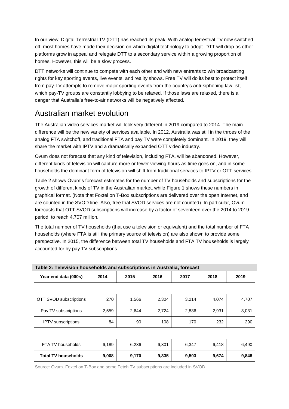In our view, Digital Terrestrial TV (DTT) has reached its peak. With analog terrestrial TV now switched off, most homes have made their decision on which digital technology to adopt. DTT will drop as other platforms grow in appeal and relegate DTT to a secondary service within a growing proportion of homes. However, this will be a slow process.

DTT networks will continue to compete with each other and with new entrants to win broadcasting rights for key sporting events, live events, and reality shows. Free TV will do its best to protect itself from pay-TV attempts to remove major sporting events from the country's anti-siphoning law list, which pay-TV groups are constantly lobbying to be relaxed. If those laws are relaxed, there is a danger that Australia's free-to-air networks will be negatively affected.

### <span id="page-8-0"></span>Australian market evolution

The Australian video services market will look very different in 2019 compared to 2014. The main difference will be the new variety of services available. In 2012, Australia was still in the throes of the analog FTA switchoff, and traditional FTA and pay TV were completely dominant. In 2019, they will share the market with IPTV and a dramatically expanded OTT video industry.

Ovum does not forecast that any kind of television, including FTA, will be abandoned. However, different kinds of television will capture more or fewer viewing hours as time goes on, and in some households the dominant form of television will shift from traditional services to IPTV or OTT services.

Table 2 shows Ovum's forecast estimates for the number of TV households and subscriptions for the growth of different kinds of TV in the Australian market, while Figure 1 shows these numbers in graphical format. (Note that Foxtel on T-Box subscriptions are delivered over the open Internet, and are counted in the SVOD line. Also, free trial SVOD services are not counted). In particular, Ovum forecasts that OTT SVOD subscriptions will increase by a factor of seventeen over the 2014 to 2019 period, to reach 4.707 million.

The total number of TV households (that use a television or equivalent) and the total number of FTA households (where FTA is still the primary source of television) are also shown to provide some perspective. In 2015, the difference between total TV households and FTA TV households is largely accounted for by pay TV subscriptions.

| <u>rabie 2. Television nousenous and subscriptions in Australia, forecast</u> |       |       |       |       |       |       |  |  |  |  |
|-------------------------------------------------------------------------------|-------|-------|-------|-------|-------|-------|--|--|--|--|
| Year end data (000s)                                                          | 2014  | 2015  | 2016  | 2017  | 2018  | 2019  |  |  |  |  |
|                                                                               |       |       |       |       |       |       |  |  |  |  |
| OTT SVOD subscriptions                                                        | 270   | 1,566 | 2,304 | 3,214 | 4,074 | 4,707 |  |  |  |  |
| Pay TV subscriptions                                                          | 2,559 | 2,644 | 2,724 | 2,836 | 2,931 | 3,031 |  |  |  |  |
| <b>IPTV</b> subscriptions                                                     | 84    | 90    | 108   | 170   | 232   | 290   |  |  |  |  |
|                                                                               |       |       |       |       |       |       |  |  |  |  |
| FTA TV households                                                             | 6,189 | 6,236 | 6,301 | 6,347 | 6,418 | 6,490 |  |  |  |  |
| <b>Total TV households</b>                                                    | 9,008 | 9,170 | 9,335 | 9,503 | 9,674 | 9,848 |  |  |  |  |

Source: Ovum. Foxtel on T-Box and some Fetch TV subscriptions are included in SVOD.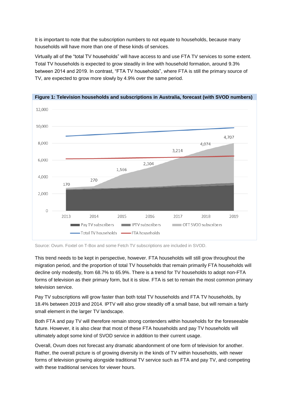It is important to note that the subscription numbers to not equate to households, because many households will have more than one of these kinds of services.

Virtually all of the "total TV households" will have access to and use FTA TV services to some extent. Total TV households is expected to grow steadily in line with household formation, around 9.3% between 2014 and 2019. In contrast, "FTA TV households", where FTA is still the primary source of TV, are expected to grow more slowly by 4.9% over the same period.



**Figure 1: Television households and subscriptions in Australia, forecast (with SVOD numbers)**

Source: Ovum. Foxtel on T-Box and some Fetch TV subscriptions are included in SVOD.

This trend needs to be kept in perspective, however. FTA households will still grow throughout the migration period, and the proportion of total TV households that remain primarily FTA households will decline only modestly, from 68.7% to 65.9%. There is a trend for TV households to adopt non-FTA forms of television as their primary form, but it is slow. FTA is set to remain the most common primary television service.

Pay TV subscriptions will grow faster than both total TV households and FTA TV households, by 18.4% between 2019 and 2014. IPTV will also grow steadily off a small base, but will remain a fairly small element in the larger TV landscape.

Both FTA and pay TV will therefore remain strong contenders within households for the foreseeable future. However, it is also clear that most of these FTA households and pay TV households will ultimately adopt some kind of SVOD service in addition to their current usage.

Overall, Ovum does not forecast any dramatic abandonment of one form of television for another. Rather, the overall picture is of growing diversity in the kinds of TV within households, with newer forms of television growing alongside traditional TV service such as FTA and pay TV, and competing with these traditional services for viewer hours.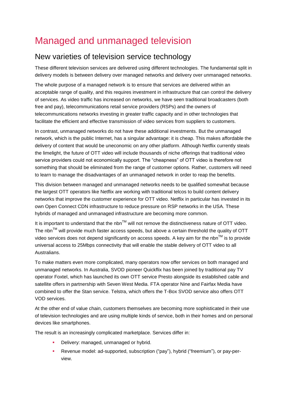## <span id="page-10-0"></span>Managed and unmanaged television

#### <span id="page-10-1"></span>New varieties of television service technology

These different television services are delivered using different technologies. The fundamental split in delivery models is between delivery over managed networks and delivery over unmanaged networks.

The whole purpose of a managed network is to ensure that services are delivered within an acceptable range of quality, and this requires investment in infrastructure that can control the delivery of services. As video traffic has increased on networks, we have seen traditional broadcasters (both free and pay), telecommunications retail service providers (RSPs) and the owners of telecommunications networks investing in greater traffic capacity and in other technologies that facilitate the efficient and effective transmission of video services from suppliers to customers.

In contrast, unmanaged networks do not have these additional investments. But the unmanaged network, which is the public Internet, has a singular advantage: it is cheap. This makes affordable the delivery of content that would be uneconomic on any other platform. Although Netflix currently steals the limelight, the future of OTT video will include thousands of niche offerings that traditional video service providers could not economically support. The "cheapness" of OTT video is therefore not something that should be eliminated from the range of customer options. Rather, customers will need to learn to manage the disadvantages of an unmanaged network in order to reap the benefits.

This division between managed and unmanaged networks needs to be qualified somewhat because the largest OTT operators like Netflix are working with traditional telcos to build content delivery networks that improve the customer experience for OTT video. Netflix in particular has invested in its own Open Connect CDN infrastructure to reduce pressure on RSP networks in the USA. These hybrids of managed and unmanaged infrastructure are becoming more common.

It is important to understand that the nbn<sup>TM</sup> will not remove the distinctiveness nature of OTT video. The nbn $<sup>TM</sup>$  will provide much faster access speeds, but above a certain threshold the quality of OTT</sup> video services does not depend significantly on access speeds. A key aim for the nbn<sup>TM</sup> is to provide universal access to 25Mbps connectivity that will enable the stable delivery of OTT video to all Australians.

To make matters even more complicated, many operators now offer services on both managed and unmanaged networks. In Australia, SVOD pioneer Quickflix has been joined by traditional pay TV operator Foxtel, which has launched its own OTT service Presto alongside its established cable and satellite offers in partnership with Seven West Media. FTA operator Nine and Fairfax Media have combined to offer the Stan service. Telstra, which offers the T-Box SVOD service also offers OTT VOD services.

At the other end of value chain, customers themselves are becoming more sophisticated in their use of television technologies and are using multiple kinds of service, both in their homes and on personal devices like smartphones.

The result is an increasingly complicated marketplace. Services differ in:

- Delivery: managed, unmanaged or hybrid.
- Revenue model: ad-supported, subscription ("pay"), hybrid ("freemium"), or pay-perview.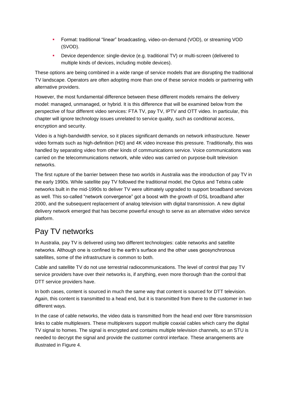- Format: traditional "linear" broadcasting, video-on-demand (VOD), or streaming VOD (SVOD).
- Device dependence: single-device (e.g. traditional TV) or multi-screen (delivered to multiple kinds of devices, including mobile devices).

These options are being combined in a wide range of service models that are disrupting the traditional TV landscape. Operators are often adopting more than one of these service models or partnering with alternative providers.

However, the most fundamental difference between these different models remains the delivery model: managed, unmanaged, or hybrid. It is this difference that will be examined below from the perspective of four different video services: FTA TV, pay TV, IPTV and OTT video. In particular, this chapter will ignore technology issues unrelated to service quality, such as conditional access, encryption and security.

Video is a high-bandwidth service, so it places significant demands on network infrastructure. Newer video formats such as high-definition (HD) and 4K video increase this pressure. Traditionally, this was handled by separating video from other kinds of communications service. Voice communications was carried on the telecommunications network, while video was carried on purpose-built television networks.

The first rupture of the barrier between these two worlds in Australia was the introduction of pay TV in the early 1990s. While satellite pay TV followed the traditional model, the Optus and Telstra cable networks built in the mid-1990s to deliver TV were ultimately upgraded to support broadband services as well. This so-called "network convergence" got a boost with the growth of DSL broadband after 2000, and the subsequent replacement of analog television with digital transmission. A new digital delivery network emerged that has become powerful enough to serve as an alternative video service platform.

### <span id="page-11-0"></span>Pay TV networks

In Australia, pay TV is delivered using two different technologies: cable networks and satellite networks. Although one is confined to the earth's surface and the other uses geosynchronous satellites, some of the infrastructure is common to both.

Cable and satellite TV do not use terrestrial radiocommunications. The level of control that pay TV service providers have over their networks is, if anything, even more thorough than the control that DTT service providers have.

In both cases, content is sourced in much the same way that content is sourced for DTT television. Again, this content is transmitted to a head end, but it is transmitted from there to the customer in two different ways.

In the case of cable networks, the video data is transmitted from the head end over fibre transmission links to cable multiplexers. These multiplexers support multiple coaxial cables which carry the digital TV signal to homes. The signal is encrypted and contains multiple television channels, so an STU is needed to decrypt the signal and provide the customer control interface. These arrangements are illustrated in Figure 4.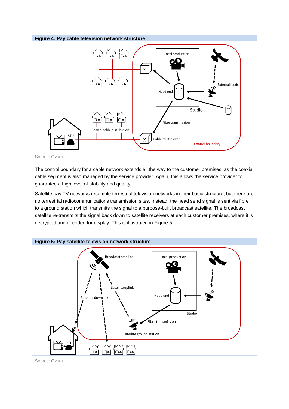



Source: Ovum

The control boundary for a cable network extends all the way to the customer premises, as the coaxial cable segment is also managed by the service provider. Again, this allows the service provider to guarantee a high level of stability and quality.

Satellite pay TV networks resemble terrestrial television networks in their basic structure, but there are no terrestrial radiocommunications transmission sites. Instead, the head send signal is sent via fibre to a ground station which transmits the signal to a purpose-built broadcast satellite. The broadcast satellite re-transmits the signal back down to satellite receivers at each customer premises, where it is decrypted and decoded for display. This is illustrated in Figure 5.



Source: Ovum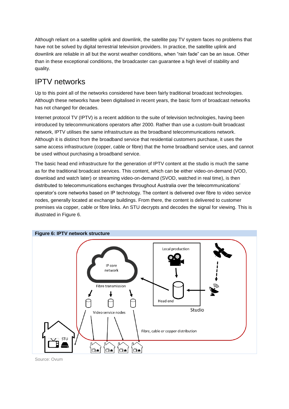Although reliant on a satellite uplink and downlink, the satellite pay TV system faces no problems that have not be solved by digital terrestrial television providers. In practice, the satellite uplink and downlink are reliable in all but the worst weather conditions, when "rain fade" can be an issue. Other than in these exceptional conditions, the broadcaster can guarantee a high level of stability and quality.

### <span id="page-13-0"></span>IPTV networks

Up to this point all of the networks considered have been fairly traditional broadcast technologies. Although these networks have been digitalised in recent years, the basic form of broadcast networks has not changed for decades.

Internet protocol TV (IPTV) is a recent addition to the suite of television technologies, having been introduced by telecommunications operators after 2000. Rather than use a custom-built broadcast network, IPTV utilises the same infrastructure as the broadband telecommunications network. Although it is distinct from the broadband service that residential customers purchase, it uses the same access infrastructure (copper, cable or fibre) that the home broadband service uses, and cannot be used without purchasing a broadband service.

The basic head end infrastructure for the generation of IPTV content at the studio is much the same as for the traditional broadcast services. This content, which can be either video-on-demand (VOD, download and watch later) or streaming video-on-demand (SVOD, watched in real time), is then distributed to telecommunications exchanges throughout Australia over the telecommunications' operator's core networks based on IP technology. The content is delivered over fibre to video service nodes, generally located at exchange buildings. From there, the content is delivered to customer premises via copper, cable or fibre links. An STU decrypts and decodes the signal for viewing. This is illustrated in Figure 6.



Source: Ovum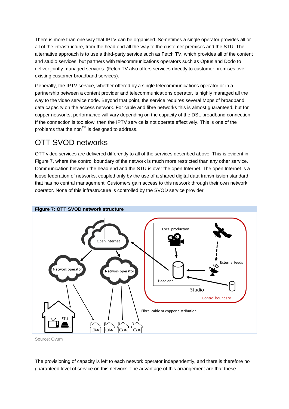There is more than one way that IPTV can be organised. Sometimes a single operator provides all or all of the infrastructure, from the head end all the way to the customer premises and the STU. The alternative approach is to use a third-party service such as Fetch TV, which provides all of the content and studio services, but partners with telecommunications operators such as Optus and Dodo to deliver jointly-managed services. (Fetch TV also offers services directly to customer premises over existing customer broadband services).

Generally, the IPTV service, whether offered by a single telecommunications operator or in a partnership between a content provider and telecommunications operator, is highly managed all the way to the video service node. Beyond that point, the service requires several Mbps of broadband data capacity on the access network. For cable and fibre networks this is almost guaranteed, but for copper networks, performance will vary depending on the capacity of the DSL broadband connection. If the connection is too slow, then the IPTV service is not operate effectively. This is one of the problems that the nbn<sup> $TM$ </sup> is designed to address.

### <span id="page-14-0"></span>OTT SVOD networks

OTT video services are delivered differently to all of the services described above. This is evident in Figure 7, where the control boundary of the network is much more restricted than any other service. Communication between the head end and the STU is over the open Internet. The open Internet is a loose federation of networks, coupled only by the use of a shared digital data transmission standard that has no central management. Customers gain access to this network through their own network operator. None of this infrastructure is controlled by the SVOD service provider.



Source: Ovum

The provisioning of capacity is left to each network operator independently, and there is therefore no guaranteed level of service on this network. The advantage of this arrangement are that these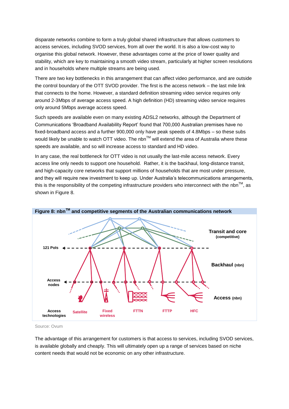disparate networks combine to form a truly global shared infrastructure that allows customers to access services, including SVOD services, from all over the world. It is also a low-cost way to organise this global network. However, these advantages come at the price of lower quality and stability, which are key to maintaining a smooth video stream, particularly at higher screen resolutions and in households where multiple streams are being used.

There are two key bottlenecks in this arrangement that can affect video performance, and are outside the control boundary of the OTT SVOD provider. The first is the access network – the last mile link that connects to the home. However, a standard definition streaming video service requires only around 2-3Mbps of average access speed. A high definition (HD) streaming video service requires only around 5Mbps average access speed.

Such speeds are available even on many existing ADSL2 networks, although the Department of Communications 'Broadband Availability Report' found that 700,000 Australian premises have no fixed-broadband access and a further 900,000 only have peak speeds of 4.8Mbps – so these subs would likely be unable to watch OTT video. The nbn™ will extend the area of Australia where these speeds are available, and so will increase access to standard and HD video.

In any case, the real bottleneck for OTT video is not usually the last-mile access network. Every access line only needs to support one household. Rather, it is the backhaul, long-distance transit, and high-capacity core networks that support millions of households that are most under pressure, and they will require new investment to keep up. Under Australia's telecommunications arrangements, this is the responsibility of the competing infrastructure providers who interconnect with the nbn<sup>TM</sup>, as shown in Figure 8.



Source: Ovum

The advantage of this arrangement for customers is that access to services, including SVOD services, is available globally and cheaply. This will ultimately open up a range of services based on niche content needs that would not be economic on any other infrastructure.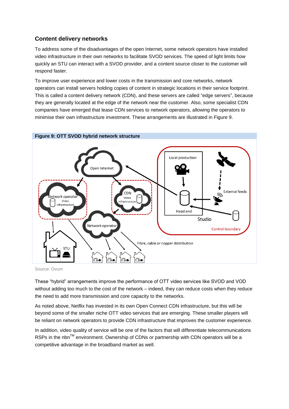#### <span id="page-16-0"></span>**Content delivery networks**

To address some of the disadvantages of the open Internet, some network operators have installed video infrastructure in their own networks to facilitate SVOD services. The speed of light limits how quickly an STU can interact with a SVOD provider, and a content source closer to the customer will respond faster.

To improve user experience and lower costs in the transmission and core networks, network operators can install servers holding copies of content in strategic locations in their service footprint. This is called a content delivery network (CDN), and these servers are called "edge servers", because they are generally located at the edge of the network near the customer. Also, some specialist CDN companies have emerged that lease CDN services to network operators, allowing the operators to minimise their own infrastructure investment. These arrangements are illustrated in Figure 9.



Source: Ovum

These "hybrid" arrangements improve the performance of OTT video services like SVOD and VOD without adding too much to the cost of the network – indeed, they can reduce costs when they reduce the need to add more transmission and core capacity to the networks.

As noted above, Netflix has invested in its own Open Connect CDN infrastructure, but this will be beyond some of the smaller niche OTT video services that are emerging. These smaller players will be reliant on network operators to provide CDN infrastructure that improves the customer experience.

In addition, video quality of service will be one of the factors that will differentiate telecommunications RSPs in the nbn™ environment. Ownership of CDNs or partnership with CDN operators will be a competitive advantage in the broadband market as well.